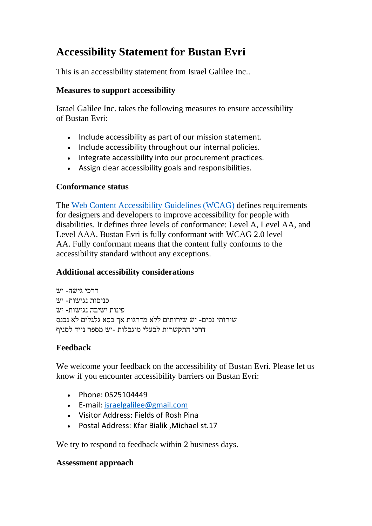# **Accessibility Statement for Bustan Evri**

This is an accessibility statement from Israel Galilee Inc..

### **Measures to support accessibility**

Israel Galilee Inc. takes the following measures to ensure accessibility of Bustan Evri:

- Include accessibility as part of our mission statement.
- Include accessibility throughout our internal policies.
- Integrate accessibility into our procurement practices.
- Assign clear accessibility goals and responsibilities.

## **Conformance status**

The [Web Content Accessibility Guidelines \(WCAG\)](https://www.w3.org/WAI/standards-guidelines/wcag/) defines requirements for designers and developers to improve accessibility for people with disabilities. It defines three levels of conformance: Level A, Level AA, and Level AAA. Bustan Evri is fully conformant with WCAG 2.0 level AA. Fully conformant means that the content fully conforms to the accessibility standard without any exceptions.

# **Additional accessibility considerations**

דרכי גישה- יש כניסות נגישות- יש פינות ישיבה נגישות- יש שירותי נכים- יש שירותים ללא מדרגות אך כסא גלגלים לא נכנס דרכי התקשרות לבעלי מוגבלות -יש מספר נייד לסניף

# **Feedback**

We welcome your feedback on the accessibility of Bustan Evri. Please let us know if you encounter accessibility barriers on Bustan Evri:

- Phone: 0525104449
- E-mail: [israelgalilee@gmail.com](mailto:israelgalilee@gmail.comisraelgalilee@gmail.com)
- Visitor Address: Fields of Rosh Pina
- Postal Address: Kfar Bialik ,Michael st.17

We try to respond to feedback within 2 business days.

#### **Assessment approach**